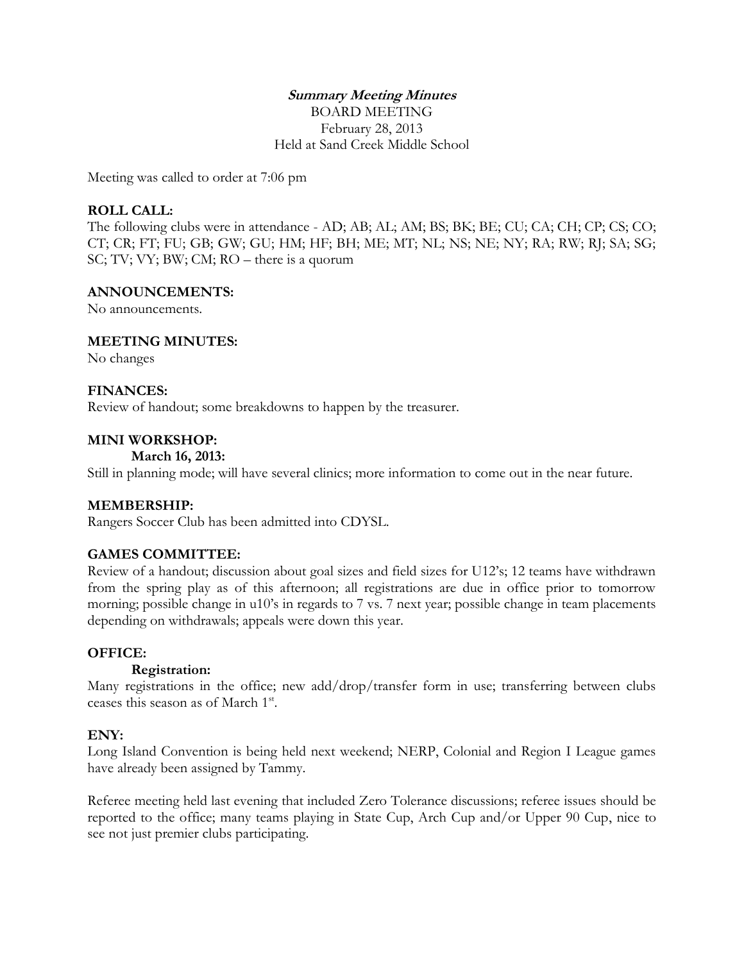# **Summary Meeting Minutes**

BOARD MEETING February 28, 2013 Held at Sand Creek Middle School

Meeting was called to order at 7:06 pm

## **ROLL CALL:**

The following clubs were in attendance - AD; AB; AL; AM; BS; BK; BE; CU; CA; CH; CP; CS; CO; CT; CR; FT; FU; GB; GW; GU; HM; HF; BH; ME; MT; NL; NS; NE; NY; RA; RW; RJ; SA; SG; SC; TV; VY; BW; CM; RO – there is a quorum

#### **ANNOUNCEMENTS:**

No announcements.

## **MEETING MINUTES:**

No changes

#### **FINANCES:**

Review of handout; some breakdowns to happen by the treasurer.

#### **MINI WORKSHOP:**

#### **March 16, 2013:**

Still in planning mode; will have several clinics; more information to come out in the near future.

## **MEMBERSHIP:**

Rangers Soccer Club has been admitted into CDYSL.

## **GAMES COMMITTEE:**

Review of a handout; discussion about goal sizes and field sizes for U12's; 12 teams have withdrawn from the spring play as of this afternoon; all registrations are due in office prior to tomorrow morning; possible change in u10's in regards to 7 vs. 7 next year; possible change in team placements depending on withdrawals; appeals were down this year.

## **OFFICE:**

## **Registration:**

Many registrations in the office; new add/drop/transfer form in use; transferring between clubs ceases this season as of March 1<sup>st</sup>.

## **ENY:**

Long Island Convention is being held next weekend; NERP, Colonial and Region I League games have already been assigned by Tammy.

Referee meeting held last evening that included Zero Tolerance discussions; referee issues should be reported to the office; many teams playing in State Cup, Arch Cup and/or Upper 90 Cup, nice to see not just premier clubs participating.